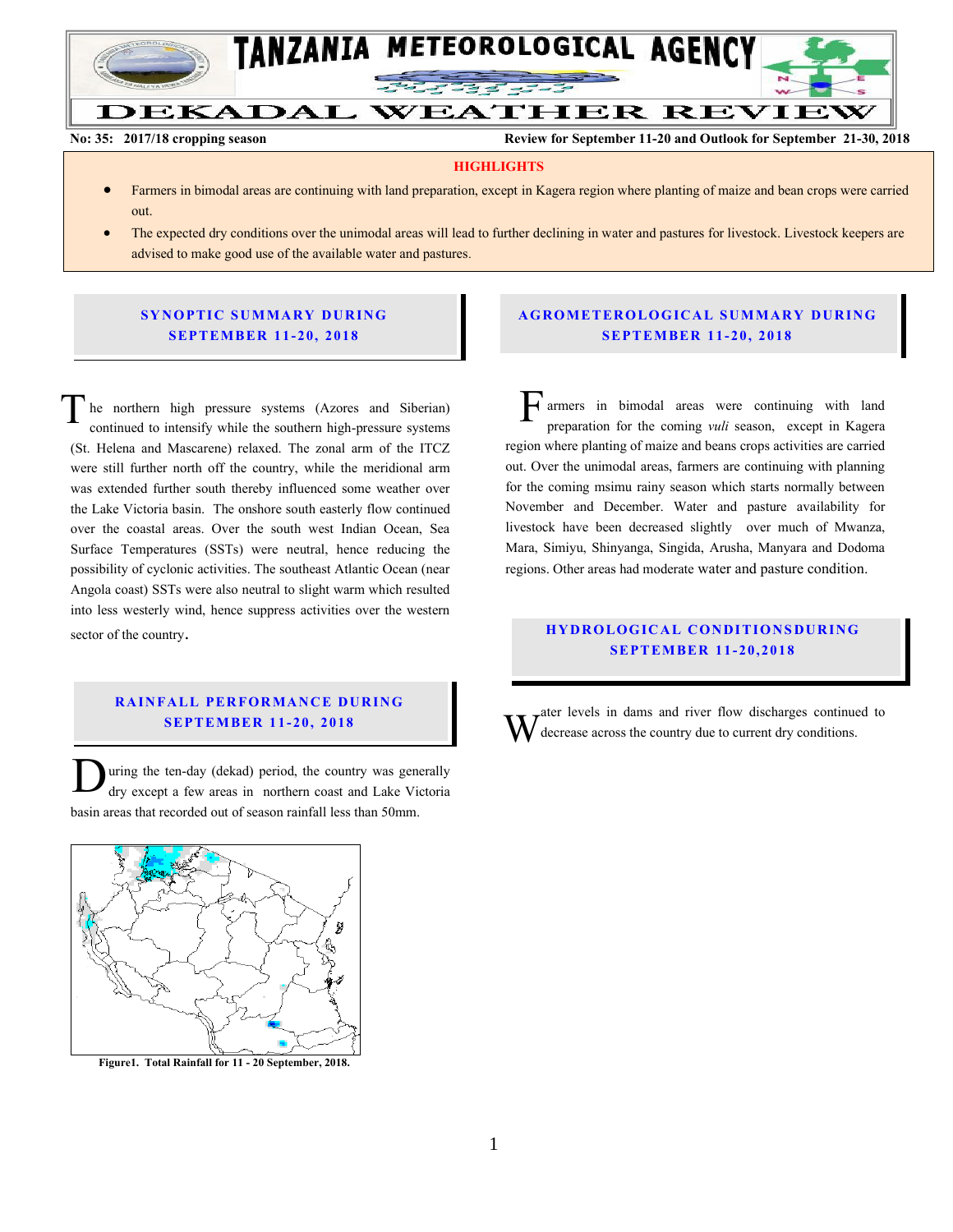

**No: 35: 2017/18 cropping season Review for September 11-20 and Outlook for September 21-30, 2018**

#### **HIGHLIGHTS**

- Farmers in bimodal areas are continuing with land preparation, except in Kagera region where planting of maize and bean crops were carried out.
- The expected dry conditions over the unimodal areas will lead to further declining in water and pastures for livestock. Livestock keepers are advised to make good use of the available water and pastures.

## **SYNOPTIC SUMMARY DURING SEPT EMBER 11- 20, 201 8**

he northern high pressure systems (Azores and Siberian) continued to intensify while the southern high-pressure systems (St. Helena and Mascarene) relaxed. The zonal arm of the ITCZ were still further north off the country, while the meridional arm was extended further south thereby influenced some weather over the Lake Victoria basin. The onshore south easterly flow continued over the coastal areas. Over the south west Indian Ocean, Sea Surface Temperatures (SSTs) were neutral, hence reducing the possibility of cyclonic activities. The southeast Atlantic Ocean (near Angola coast) SSTs were also neutral to slight warm which resulted into less westerly wind, hence suppress activities over the western sector of the country. T

### **RAINFALL PERFORMANCE DURING SEPT EMBER 1 1- 20, 2018**

uring the ten-day (dekad) period, the country was generally dry except a few areas in northern coast and Lake Victoria basin areas that recorded out of season rainfall less than 50mm.  $\overline{\mathbf{D}}$ 



 **Figure1. Total Rainfall for 11 - 20 September, 2018.**

## **A G RO METER O LO G IC AL SU MMAR Y DU R IN G SEPT EMBER 1 1- 20, 2018**

armers in bimodal areas were continuing with land preparation for the coming *vuli* season, except in Kagera region where planting of maize and beans crops activities are carried out. Over the unimodal areas, farmers are continuing with planning for the coming msimu rainy season which starts normally between November and December. Water and pasture availability for livestock have been decreased slightly over much of Mwanza, Mara, Simiyu, Shinyanga, Singida, Arusha, Manyara and Dodoma regions. Other areas had moderate water and pasture condition.  $\overline{\mathbf{F}}_{_{\text{pn}}}^{\text{a}}$ 

# **H Y DR O LOG IC A L C ON DITIO N SDU R IN G SEPT EMBER 1 1- 20 , 2018**

ater levels in dams and river flow discharges continued to decrease across the country due to current dry conditions. W